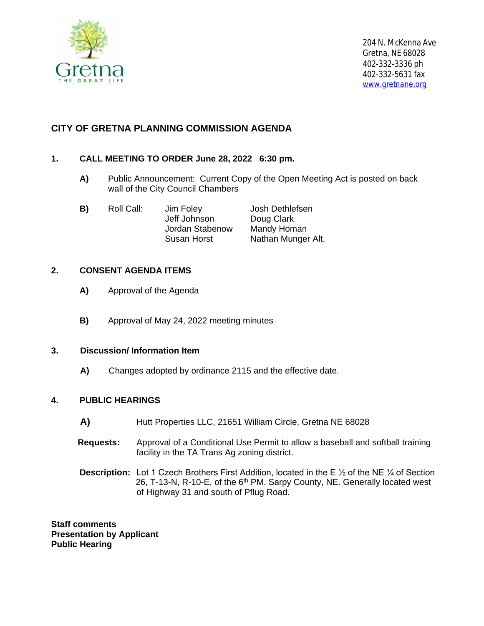

# **CITY OF GRETNA PLANNING COMMISSION AGENDA**

## **1. CALL MEETING TO ORDER June 28, 2022 6:30 pm.**

- **A)** Public Announcement: Current Copy of the Open Meeting Act is posted on back wall of the City Council Chambers
- **B)** Roll Call: Jim Foley Josh Dethlefsen Jeff Johnson Doug Clark Jordan Stabenow Mandy Homan Susan Horst Nathan Munger Alt.

### **2. CONSENT AGENDA ITEMS**

- **A)** Approval of the Agenda
- **B)** Approval of May 24, 2022 meeting minutes

### **3. Discussion/ Information Item**

 **A)** Changes adopted by ordinance 2115 and the effective date.

#### **4. PUBLIC HEARINGS**

- **A)** Hutt Properties LLC, 21651 William Circle, Gretna NE 68028
- **Requests:** Approval of a Conditional Use Permit to allow a baseball and softball training facility in the TA Trans Ag zoning district.
- **Description:** Lot 1 Czech Brothers First Addition, located in the E 1/2 of the NE 1/4 of Section 26, T-13-N, R-10-E, of the 6<sup>th</sup> PM. Sarpy County, NE. Generally located west of Highway 31 and south of Pflug Road.

**Staff comments Presentation by Applicant Public Hearing**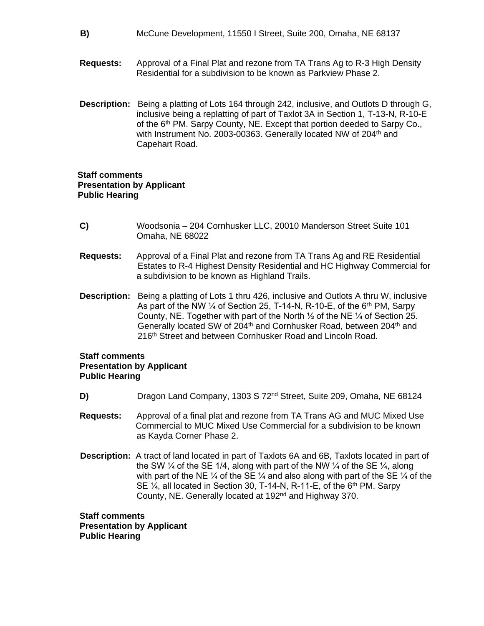- **B)** McCune Development, 11550 I Street, Suite 200, Omaha, NE 68137
- **Requests:** Approval of a Final Plat and rezone from TA Trans Ag to R-3 High Density Residential for a subdivision to be known as Parkview Phase 2.
- **Description:** Being a platting of Lots 164 through 242, inclusive, and Outlots D through G, inclusive being a replatting of part of Taxlot 3A in Section 1, T-13-N, R-10-E of the 6<sup>th</sup> PM. Sarpy County, NE. Except that portion deeded to Sarpy Co., with Instrument No. 2003-00363. Generally located NW of 204<sup>th</sup> and Capehart Road.

#### **Staff comments Presentation by Applicant Public Hearing**

- **C)** Woodsonia 204 Cornhusker LLC, 20010 Manderson Street Suite 101 Omaha, NE 68022
- **Requests:** Approval of a Final Plat and rezone from TA Trans Ag and RE Residential Estates to R-4 Highest Density Residential and HC Highway Commercial for a subdivision to be known as Highland Trails.
- **Description:** Being a platting of Lots 1 thru 426, inclusive and Outlots A thru W, inclusive As part of the NW  $\frac{1}{4}$  of Section 25, T-14-N, R-10-E, of the 6<sup>th</sup> PM, Sarpy County, NE. Together with part of the North ½ of the NE ¼ of Section 25. Generally located SW of 204<sup>th</sup> and Cornhusker Road, between 204<sup>th</sup> and 216<sup>th</sup> Street and between Cornhusker Road and Lincoln Road.

#### **Staff comments Presentation by Applicant Public Hearing**

- **D)** Dragon Land Company, 1303 S 72<sup>nd</sup> Street, Suite 209, Omaha, NE 68124
- **Requests:** Approval of a final plat and rezone from TA Trans AG and MUC Mixed Use Commercial to MUC Mixed Use Commercial for a subdivision to be known as Kayda Corner Phase 2.
- **Description:** A tract of land located in part of Taxlots 6A and 6B, Taxlots located in part of the SW  $\frac{1}{4}$  of the SE 1/4, along with part of the NW  $\frac{1}{4}$  of the SE  $\frac{1}{4}$ , along with part of the NE  $\frac{1}{4}$  of the SE  $\frac{1}{4}$  and also along with part of the SE  $\frac{1}{4}$  of the SE  $\frac{1}{4}$ , all located in Section 30, T-14-N, R-11-E, of the 6<sup>th</sup> PM. Sarpy County, NE. Generally located at 192nd and Highway 370.

**Staff comments Presentation by Applicant Public Hearing**